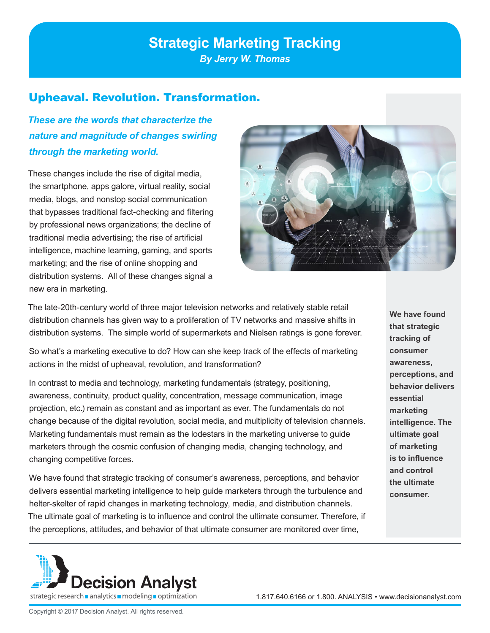## **Strategic Marketing Tracking**

*By Jerry W. Thomas*

## Upheaval. Revolution. Transformation.

*These are the words that characterize the nature and magnitude of changes swirling through the marketing world.* 

These changes include the rise of digital media, the smartphone, apps galore, virtual reality, social media, blogs, and nonstop social communication that bypasses traditional fact-checking and filtering by professional news organizations; the decline of traditional media advertising; the rise of artificial intelligence, machine learning, gaming, and sports marketing; and the rise of online shopping and distribution systems. All of these changes signal a new era in marketing.



The late-20th-century world of three major television networks and relatively stable retail distribution channels has given way to a proliferation of TV networks and massive shifts in distribution systems. The simple world of supermarkets and Nielsen ratings is gone forever.

So what's a marketing executive to do? How can she keep track of the effects of marketing actions in the midst of upheaval, revolution, and transformation?

In contrast to media and technology, marketing fundamentals (strategy, positioning, awareness, continuity, product quality, concentration, message communication, image projection, etc.) remain as constant and as important as ever. The fundamentals do not change because of the digital revolution, social media, and multiplicity of television channels. Marketing fundamentals must remain as the lodestars in the marketing universe to guide marketers through the cosmic confusion of changing media, changing technology, and changing competitive forces.

We have found that strategic tracking of consumer's awareness, perceptions, and behavior delivers essential marketing intelligence to help guide marketers through the turbulence and helter-skelter of rapid changes in marketing technology, media, and distribution channels. The ultimate goal of marketing is to influence and control the ultimate consumer. Therefore, if the perceptions, attitudes, and behavior of that ultimate consumer are monitored over time,

**We have found that strategic tracking of consumer awareness, perceptions, and behavior delivers essential marketing intelligence. The ultimate goal of marketing is to influence and control the ultimate consumer.** 

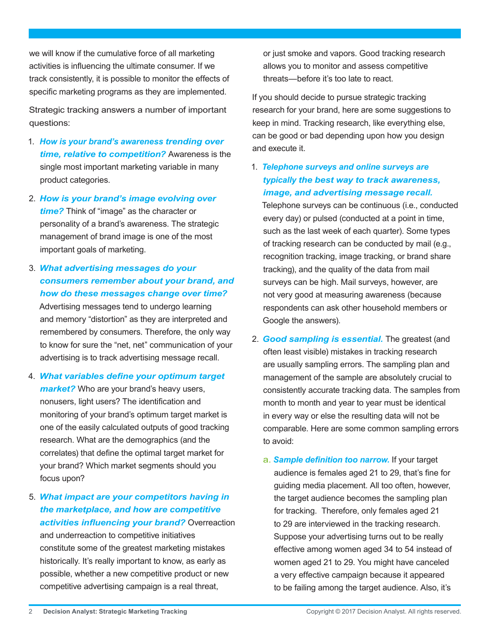we will know if the cumulative force of all marketing activities is influencing the ultimate consumer. If we track consistently, it is possible to monitor the effects of specific marketing programs as they are implemented.

Strategic tracking answers a number of important questions:

- 1. *How is your brand's awareness trending over time, relative to competition?* Awareness is the single most important marketing variable in many product categories.
- 2. *How is your brand's image evolving over time?* Think of "image" as the character or personality of a brand's awareness. The strategic management of brand image is one of the most important goals of marketing.
- 3. *What advertising messages do your consumers remember about your brand, and how do these messages change over time?*

Advertising messages tend to undergo learning and memory "distortion" as they are interpreted and remembered by consumers. Therefore, the only way to know for sure the "net, net" communication of your advertising is to track advertising message recall.

- 4. *What variables define your optimum target market?* Who are your brand's heavy users, nonusers, light users? The identification and monitoring of your brand's optimum target market is one of the easily calculated outputs of good tracking research. What are the demographics (and the correlates) that define the optimal target market for your brand? Which market segments should you focus upon?
- 5. *What impact are your competitors having in the marketplace, and how are competitive activities influencing your brand?* Overreaction and underreaction to competitive initiatives constitute some of the greatest marketing mistakes historically. It's really important to know, as early as possible, whether a new competitive product or new competitive advertising campaign is a real threat,

or just smoke and vapors. Good tracking research allows you to monitor and assess competitive threats—before it's too late to react.

If you should decide to pursue strategic tracking research for your brand, here are some suggestions to keep in mind. Tracking research, like everything else, can be good or bad depending upon how you design and execute it.

1. *Telephone surveys and online surveys are typically the best way to track awareness, image, and advertising message recall.* 

Telephone surveys can be continuous (i.e., conducted every day) or pulsed (conducted at a point in time, such as the last week of each quarter). Some types of tracking research can be conducted by mail (e.g., recognition tracking, image tracking, or brand share tracking), and the quality of the data from mail surveys can be high. Mail surveys, however, are not very good at measuring awareness (because respondents can ask other household members or Google the answers).

- 2. *Good sampling is essential.* The greatest (and often least visible) mistakes in tracking research are usually sampling errors. The sampling plan and management of the sample are absolutely crucial to consistently accurate tracking data. The samples from month to month and year to year must be identical in every way or else the resulting data will not be comparable. Here are some common sampling errors to avoid:
	- a. *Sample definition too narrow.* If your target audience is females aged 21 to 29, that's fine for guiding media placement. All too often, however, the target audience becomes the sampling plan for tracking. Therefore, only females aged 21 to 29 are interviewed in the tracking research. Suppose your advertising turns out to be really effective among women aged 34 to 54 instead of women aged 21 to 29. You might have canceled a very effective campaign because it appeared to be failing among the target audience. Also, it's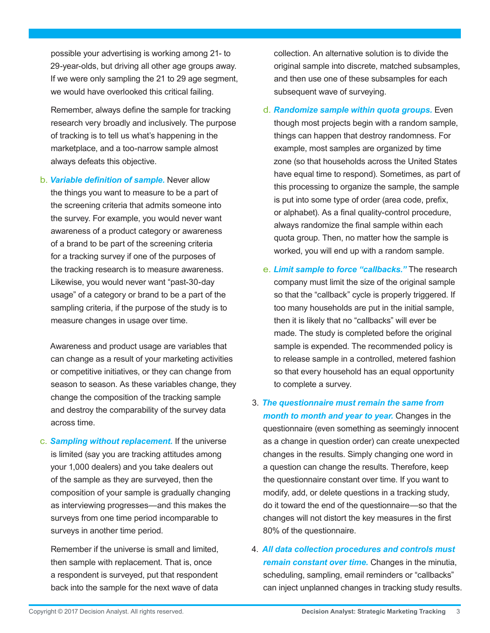possible your advertising is working among 21- to 29-year-olds, but driving all other age groups away. If we were only sampling the 21 to 29 age segment, we would have overlooked this critical failing.

Remember, always define the sample for tracking research very broadly and inclusively. The purpose of tracking is to tell us what's happening in the marketplace, and a too-narrow sample almost always defeats this objective.

b. *Variable definition of sample.* Never allow the things you want to measure to be a part of the screening criteria that admits someone into the survey. For example, you would never want awareness of a product category or awareness of a brand to be part of the screening criteria for a tracking survey if one of the purposes of the tracking research is to measure awareness. Likewise, you would never want "past-30-day usage" of a category or brand to be a part of the sampling criteria, if the purpose of the study is to measure changes in usage over time.

Awareness and product usage are variables that can change as a result of your marketing activities or competitive initiatives, or they can change from season to season. As these variables change, they change the composition of the tracking sample and destroy the comparability of the survey data across time.

c. *Sampling without replacement.* If the universe is limited (say you are tracking attitudes among your 1,000 dealers) and you take dealers out of the sample as they are surveyed, then the composition of your sample is gradually changing as interviewing progresses—and this makes the surveys from one time period incomparable to surveys in another time period.

Remember if the universe is small and limited, then sample with replacement. That is, once a respondent is surveyed, put that respondent back into the sample for the next wave of data

collection. An alternative solution is to divide the original sample into discrete, matched subsamples, and then use one of these subsamples for each subsequent wave of surveying.

d. *Randomize sample within quota groups.* Even though most projects begin with a random sample, things can happen that destroy randomness. For example, most samples are organized by time zone (so that households across the United States have equal time to respond). Sometimes, as part of this processing to organize the sample, the sample is put into some type of order (area code, prefix, or alphabet). As a final quality-control procedure, always randomize the final sample within each quota group. Then, no matter how the sample is worked, you will end up with a random sample.

- e. *Limit sample to force "callbacks."* The research company must limit the size of the original sample so that the "callback" cycle is properly triggered. If too many households are put in the initial sample, then it is likely that no "callbacks" will ever be made. The study is completed before the original sample is expended. The recommended policy is to release sample in a controlled, metered fashion so that every household has an equal opportunity to complete a survey.
- 3. *The questionnaire must remain the same from month to month and year to year.* Changes in the questionnaire (even something as seemingly innocent as a change in question order) can create unexpected changes in the results. Simply changing one word in a question can change the results. Therefore, keep the questionnaire constant over time. If you want to modify, add, or delete questions in a tracking study, do it toward the end of the questionnaire—so that the changes will not distort the key measures in the first 80% of the questionnaire.
- 4. *All data collection procedures and controls must remain constant over time.* Changes in the minutia, scheduling, sampling, email reminders or "callbacks" can inject unplanned changes in tracking study results.